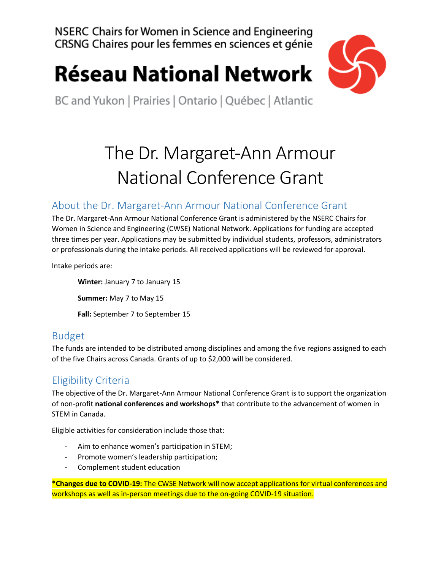NSERC Chairs for Women in Science and Engineering CRSNG Chaires pour les femmes en sciences et génie

# **Réseau National Network**



BC and Yukon | Prairies | Ontario | Québec | Atlantic

### The Dr. Margaret-Ann Armour National Conference Grant

#### About the Dr. Margaret-Ann Armour National Conference Grant

The Dr. Margaret-Ann Armour National Conference Grant is administered by the NSERC Chairs for Women in Science and Engineering (CWSE) National Network. Applications for funding are accepted three times per year. Applications may be submitted by individual students, professors, administrators or professionals during the intake periods. All received applications will be reviewed for approval.

Intake periods are:

**Winter:** January 7 to January 15 **Summer:** May 7 to May 15 **Fall:** September 7 to September 15

### Budget

The funds are intended to be distributed among disciplines and among the five regions assigned to each of the five Chairs across Canada. Grants of up to \$2,000 will be considered.

### Eligibility Criteria

The objective of the Dr. Margaret-Ann Armour National Conference Grant is to support the organization of non-profit **national conferences and workshops\*** that contribute to the advancement of women in STEM in Canada.

Eligible activities for consideration include those that:

- Aim to enhance women's participation in STEM;
- Promote women's leadership participation;
- Complement student education

**\*Changes due to COVID-19:** The CWSE Network will now accept applications for virtual conferences and workshops as well as in-person meetings due to the on-going COVID-19 situation.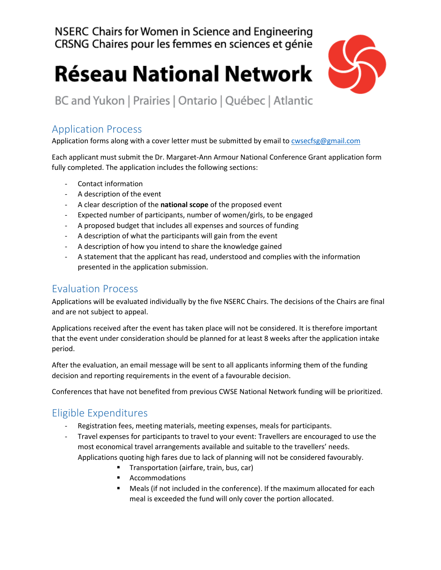NSERC Chairs for Women in Science and Engineering CRSNG Chaires pour les femmes en sciences et génie

## **Réseau National Network**



BC and Yukon | Prairies | Ontario | Québec | Atlantic

#### Application Process

Application forms along with a cover letter must be submitted by email t[o cwsecfsg@gmail.com](mailto:cwsecfsg@gmail.com)

Each applicant must submit the Dr. Margaret-Ann Armour National Conference Grant application form fully completed. The application includes the following sections:

- Contact information
- A description of the event
- A clear description of the **national scope** of the proposed event
- Expected number of participants, number of women/girls, to be engaged
- A proposed budget that includes all expenses and sources of funding
- A description of what the participants will gain from the event
- A description of how you intend to share the knowledge gained
- A statement that the applicant has read, understood and complies with the information presented in the application submission.

#### Evaluation Process

Applications will be evaluated individually by the five NSERC Chairs. The decisions of the Chairs are final and are not subject to appeal.

Applications received after the event has taken place will not be considered. It is therefore important that the event under consideration should be planned for at least 8 weeks after the application intake period.

After the evaluation, an email message will be sent to all applicants informing them of the funding decision and reporting requirements in the event of a favourable decision.

Conferences that have not benefited from previous CWSE National Network funding will be prioritized.

#### Eligible Expenditures

- Registration fees, meeting materials, meeting expenses, meals for participants.
- Travel expenses for participants to travel to your event: Travellers are encouraged to use the most economical travel arrangements available and suitable to the travellers' needs. Applications quoting high fares due to lack of planning will not be considered favourably.
	- Transportation (airfare, train, bus, car)
	- Accommodations
	- Meals (if not included in the conference). If the maximum allocated for each meal is exceeded the fund will only cover the portion allocated.